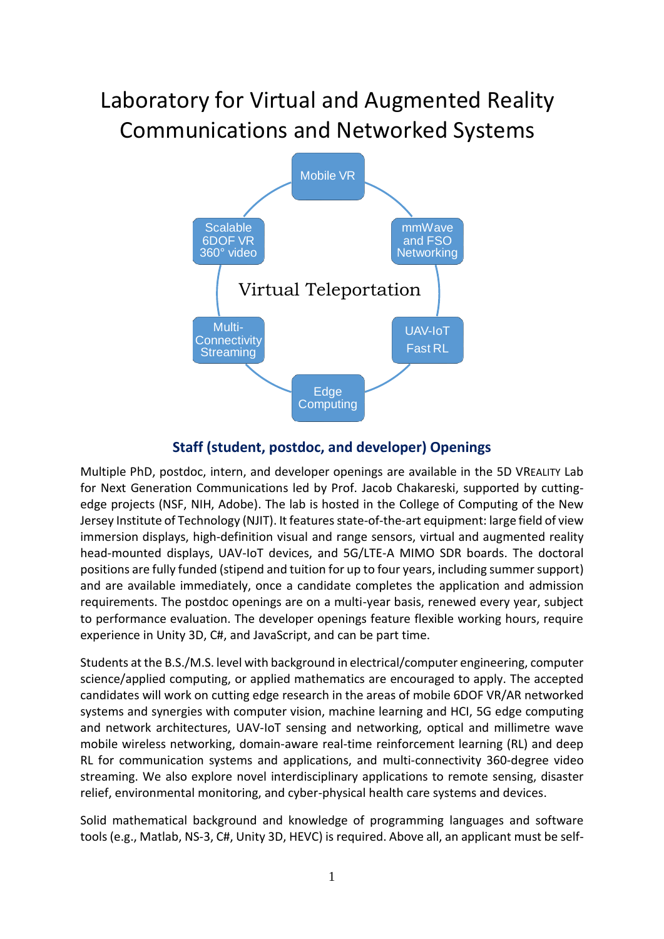## Laboratory for Virtual and Augmented Reality Communications and Networked Systems



## **Staff (student, postdoc, and developer) Openings**

Multiple PhD, postdoc, intern, and developer openings are available in the 5D VREALITY Lab for Next Generation Communications led by Prof. Jacob Chakareski, supported by cuttingedge projects (NSF, NIH, Adobe). The lab is hosted in the College of Computing of the New Jersey Institute of Technology (NJIT). It features state-of-the-art equipment: large field of view immersion displays, high-definition visual and range sensors, virtual and augmented reality head-mounted displays, UAV-IoT devices, and 5G/LTE-A MIMO SDR boards. The doctoral positions are fully funded (stipend and tuition for up to four years, including summer support) and are available immediately, once a candidate completes the application and admission requirements. The postdoc openings are on a multi-year basis, renewed every year, subject to performance evaluation. The developer openings feature flexible working hours, require experience in Unity 3D, C#, and JavaScript, and can be part time.

Students at the B.S./M.S. level with background in electrical/computer engineering, computer science/applied computing, or applied mathematics are encouraged to apply. The accepted candidates will work on cutting edge research in the areas of mobile 6DOF VR/AR networked systems and synergies with computer vision, machine learning and HCI, 5G edge computing and network architectures, UAV-IoT sensing and networking, optical and millimetre wave mobile wireless networking, domain-aware real-time reinforcement learning (RL) and deep RL for communication systems and applications, and multi-connectivity 360-degree video streaming. We also explore novel interdisciplinary applications to remote sensing, disaster relief, environmental monitoring, and cyber-physical health care systems and devices.

Solid mathematical background and knowledge of programming languages and software tools (e.g., Matlab, NS-3, C#, Unity 3D, HEVC) is required. Above all, an applicant must be self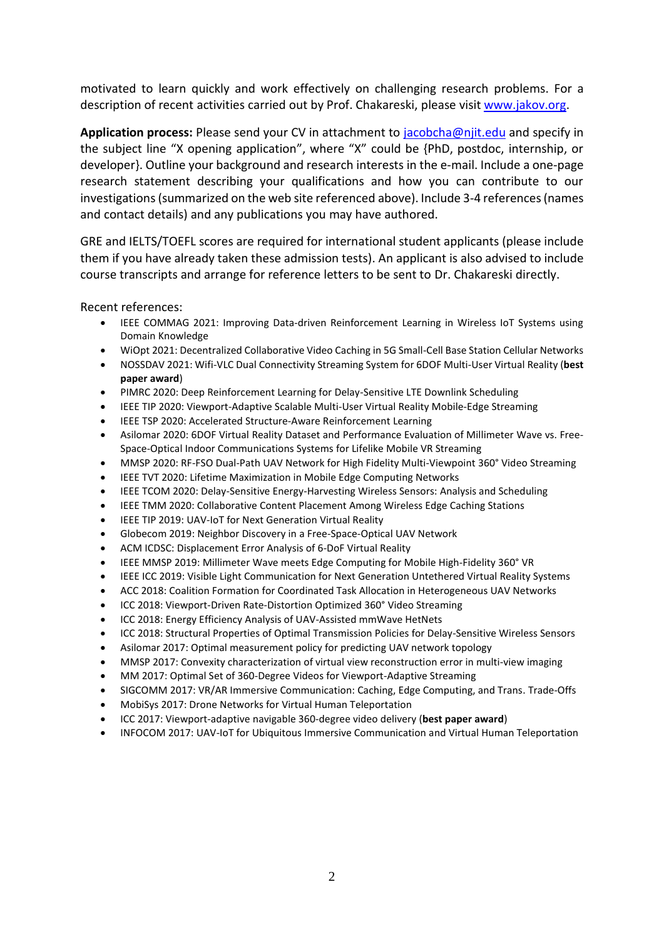motivated to learn quickly and work effectively on challenging research problems. For a description of recent activities carried out by Prof. Chakareski, please visit [www.jakov.org.](http://www.jakov.org/)

**Application process:** Please send your CV in attachment to [jacobcha@njit.edu](mailto:jacobcha@njit.edu) and specify in the subject line "X opening application", where "X" could be {PhD, postdoc, internship, or developer}. Outline your background and research interests in the e-mail. Include a one-page research statement describing your qualifications and how you can contribute to our investigations(summarized on the web site referenced above). Include 3-4 references (names and contact details) and any publications you may have authored.

GRE and IELTS/TOEFL scores are required for international student applicants (please include them if you have already taken these admission tests). An applicant is also advised to include course transcripts and arrange for reference letters to be sent to Dr. Chakareski directly.

Recent references:

- IEEE COMMAG 2021: Improving Data-driven Reinforcement Learning in Wireless IoT Systems using Domain Knowledge
- WiOpt 2021: Decentralized Collaborative Video Caching in 5G Small-Cell Base Station Cellular Networks
- NOSSDAV 2021: Wifi-VLC Dual Connectivity Streaming System for 6DOF Multi-User Virtual Reality (**best paper award**)
- PIMRC 2020: Deep Reinforcement Learning for Delay-Sensitive LTE Downlink Scheduling
- IEEE TIP 2020: Viewport-Adaptive Scalable Multi-User Virtual Reality Mobile-Edge Streaming
- IEEE TSP 2020: Accelerated Structure-Aware Reinforcement Learning
- Asilomar 2020: 6DOF Virtual Reality Dataset and Performance Evaluation of Millimeter Wave vs. Free-Space-Optical Indoor Communications Systems for Lifelike Mobile VR Streaming
- MMSP 2020: RF-FSO Dual-Path UAV Network for High Fidelity Multi-Viewpoint 360° Video Streaming
- IEEE TVT 2020: Lifetime Maximization in Mobile Edge Computing Networks
- IEEE TCOM 2020: Delay-Sensitive Energy-Harvesting Wireless Sensors: Analysis and Scheduling
- IEEE TMM 2020: Collaborative Content Placement Among Wireless Edge Caching Stations
- IEEE TIP 2019: UAV-IoT for Next Generation Virtual Reality
- Globecom 2019: Neighbor Discovery in a Free-Space-Optical UAV Network
- ACM ICDSC: Displacement Error Analysis of 6-DoF Virtual Reality
- IEEE MMSP 2019: Millimeter Wave meets Edge Computing for Mobile High-Fidelity 360° VR
- IEEE ICC 2019: Visible Light Communication for Next Generation Untethered Virtual Reality Systems
- ACC 2018: Coalition Formation for Coordinated Task Allocation in Heterogeneous UAV Networks
- ICC 2018: Viewport-Driven Rate-Distortion Optimized 360° Video Streaming
- ICC 2018: Energy Efficiency Analysis of UAV-Assisted mmWave HetNets
- ICC 2018: Structural Properties of Optimal Transmission Policies for Delay-Sensitive Wireless Sensors
- Asilomar 2017: Optimal measurement policy for predicting UAV network topology
- MMSP 2017: Convexity characterization of virtual view reconstruction error in multi-view imaging
- MM 2017: Optimal Set of 360-Degree Videos for Viewport-Adaptive Streaming
- SIGCOMM 2017: VR/AR Immersive Communication: Caching, Edge Computing, and Trans. Trade-Offs
- MobiSys 2017: Drone Networks for Virtual Human Teleportation
- ICC 2017: Viewport-adaptive navigable 360-degree video delivery (**best paper award**)
- INFOCOM 2017: UAV-IoT for Ubiquitous Immersive Communication and Virtual Human Teleportation